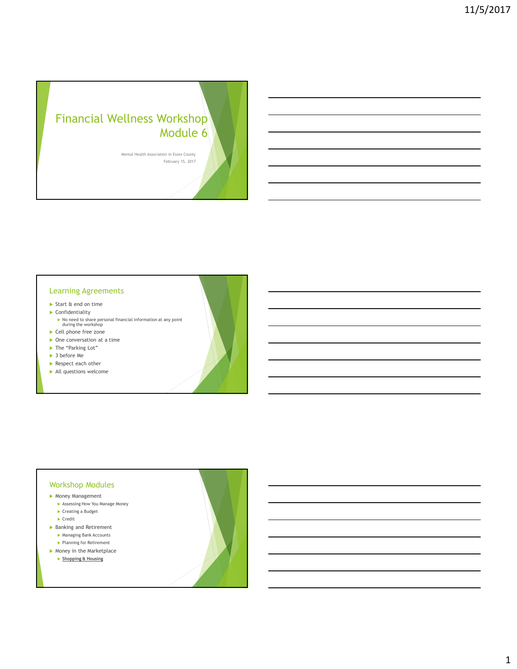# Financial Wellness Workshop Module 6

Mental Health Association in Essex County February 15, 2017

### Learning Agreements

- Start & end on time
- Confidentiality
	- No need to share personal financial information at any point during the workshop
- ▶ Cell phone free zone
- ▶ One conversation at a time
- ▶ The "Parking Lot"
- ▶ 3 before Me
- Respect each other
- All questions welcome

#### Workshop Modules

- Money Management
	- Assessing How You Manage Money ▶ Creating a Budget
	- $\blacktriangleright$  Credit
- ▶ Banking and Retirement
	- Managing Bank Accounts
	- ▶ Planning for Retirement
- $\blacktriangleright$  Money in the Marketplace
	- ▶ Shopping & Housing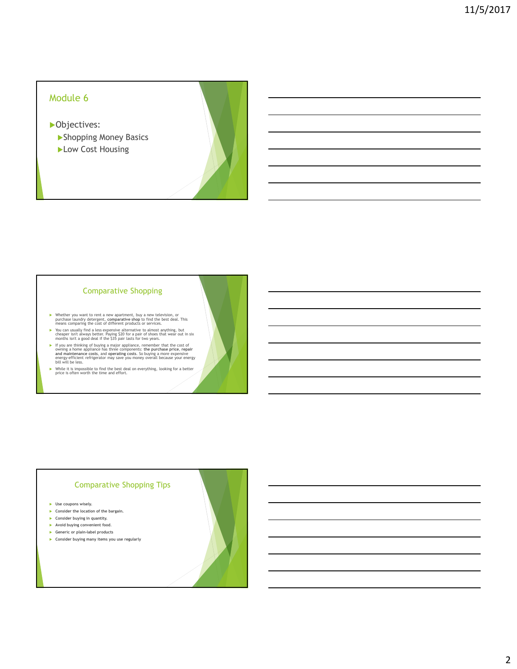# Module 6

**D**bjectives:

- Shopping Money Basics
- Low Cost Housing

#### Comparative Shopping

- Whether you want to rent a new apartment, buy a new television, or purchase laundry detergent, comparative shop to find the best deal. This means comparing the cost of different products or services.
- You can usually find a less expensive alternative to almost anything, but cheaper isn't always better. Paying \$20 for a pair of shoes that wear out in six months isn't a good deal if the \$35 pair lasts for two years.
- If you are thinking of buying a major appliance, remember that the cost of moving a home appliance has three components; the purchase price, repair and maintenance costs, and operating costs. So buying a more expensive en
- While it is impossible to find the best deal on everything, looking for a better price is often worth the time and effort.

# Comparative Shopping Tips

- **Dise coupons wisely.**
- Consider the location of the bargain.
- **Consider buying in quantity.**
- Avoid buying convenient food.
- Generic or plain-label products
- Consider buying many items you use regularly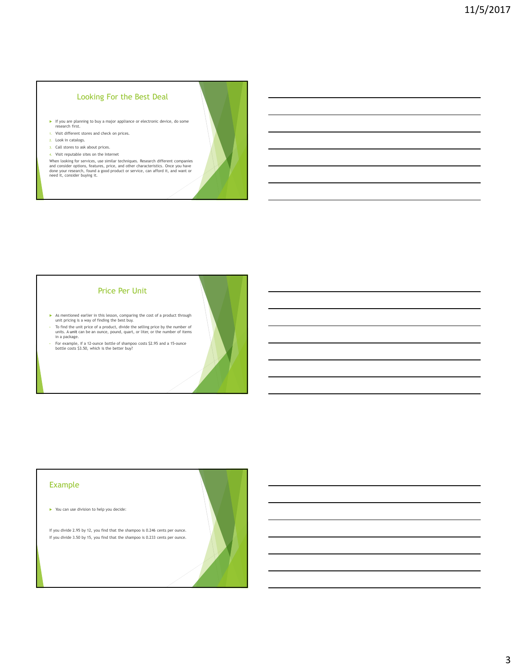### Looking For the Best Deal

- If you are planning to buy a major appliance or electronic device, do some research first.
- 1. Visit different stores and check on prices.
- 2. Look in catalogs.
- 3. Call stores to ask about prices. 4. Visit reputable sites on the Internet
- 

When looking for services, use similar techniques. Research different companies<br>and consider options, features, price, and other characteristics. Once you have<br>done your research, found a good product or service, can affor

#### Price Per Unit

- As mentioned earlier in this lesson, comparing the cost of a product through unit pricing is a way of finding the best buy.
- To find the unit price of a product, divide the selling price by the number of units. A unit can be an ounce, pound, quart, or liter, or the number of items in a package.
- For example, if a 12-ounce bottle of shampoo costs \$2.95 and a 15-ounce bottle costs \$3.50, which is the better buy?

### Example

You can use division to help you decide:

If you divide 2.95 by 12, you find that the shampoo is 0.246 cents per ounce. If you divide 3.50 by 15, you find that the shampoo is 0.233 cents per ounce.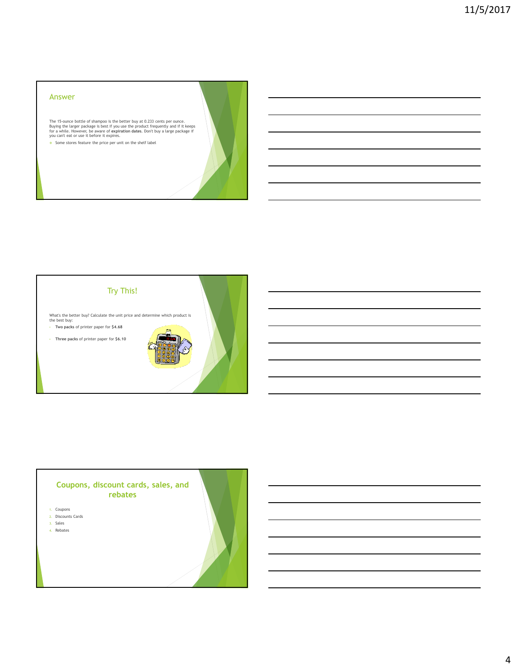#### Answer

The 15-ounce bottle of shampoo is the better buy at 0.233 cents per ounce.<br>Buying the larger package is best if you use the product frequently and if it keeps<br>for a while. However, be aware of expiration dates. Don't buy a

 $\bullet$  Some stores feature the price per unit on the shelf label



## Coupons, discount cards, sales, and rebates

- 1. Coupons
- 2. Discounts Cards 3. Sales
- 4. Rebates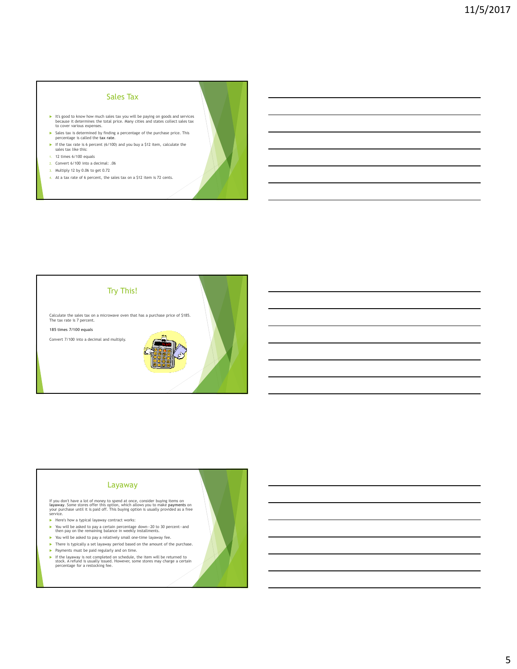# Sales Tax

- It's good to know how much sales tax you will be paying on goods and services because it determines the total price. Many cities and states collect sales tax to cover various expenses.
- Sales tax is determined by finding a percentage of the purchase price. This percentage is called the tax rate.
- If the tax rate is 6 percent (6/100) and you buy a \$12 item, calculate the sales tax like this:
- 1. 12 times 6/100 equals
- 2. Convert 6/100 into a decimal: .06
- 3. Multiply 12 by 0.06 to get 0.72
- 4. At a tax rate of 6 percent, the sales tax on a \$12 item is 72 cents.



#### Layaway

If you don't have a lot of money to spend at once, consider buying items on<br>**layaway.** Some stores offer this option, which allows you to make **payments** on<br>your purchase until it is paid off. This buying option is usually

- Here's how a typical layaway contract works:
- You will be asked to pay a certain percentage down—20 to 30 percent—and then pay on the remaining balance in weekly installments.
- 
- You will be asked to pay a relatively small one-time layaway fee.
- There is typically a set layaway period based on the amount of the purchase.
- $\blacktriangleright$  Payments must be paid regularly and on time.
- If the layaway is not completed on schedule, the item will be returned to stock. A refund is usually issued. However, some stores may charge a certain percentage for a restocking fee.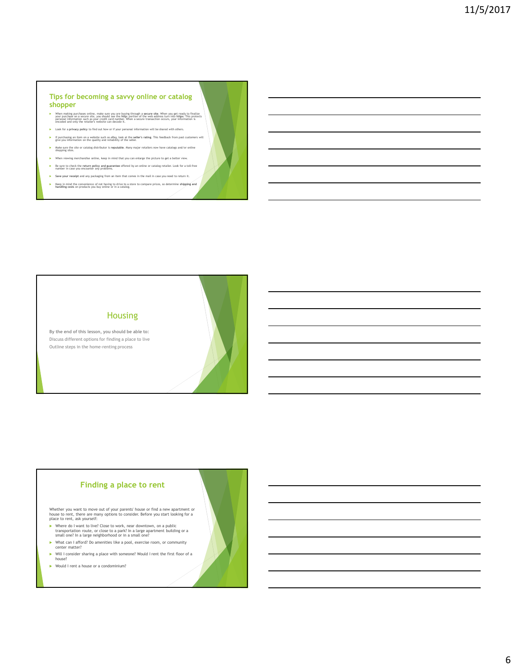#### Tips for becoming a savvy online or catalog shopper

- > When making purchases online, make sure you are buying through a secure site. When you get ready to finalize<br>personal information such sayour credit card number. When a secure started by the started that the streament o<br>
- **Look for a privacy policy to find out how or if your personal information will be shared with others**.
- If purchasing an item on a website such as eBay, look at the seller's rating. This feedback from past customers will give you information on the quality and reliability of the seller.
- Make sure the site or catalog distributor is reputable. Many major retailers now have catalogs and/or online shopping sites.
- $\blacktriangleright$  When viewing merchandise online, keep in mind that you can enlarge the picture to get a better view.
- Be sure to check the return policy and guarantee offered by an online or catalog retailer. Look for a toll-free number in case you encounter any problems. Save your receipt and any packaging from an item that comes in the mail in case you need to return it.
- Keep in mind the convenience of not having to drive to a store to compare prices, so determine shipping and handling costs on products you buy online or in a catalog.

Housing

Outline steps in the home-renting process



### Finding a place to rent

Whether you want to move out of your parents' house or find a new apartment or house to rent, there are many options to consider. Before you start looking for a place to rent, ask yourself:

- ▶ Where do I want to live? Close to work, near downtown, on a public<br>transportation route, or close to a park? In a large apartment building or a<br>small one? In a large neighborhood or in a small one?
- What can I afford? Do amenities like a pool, exercise room, or community center matter?
- Will I consider sharing a place with someone? Would I rent the first floor of a
- house?
- Would I rent a house or a condominium?